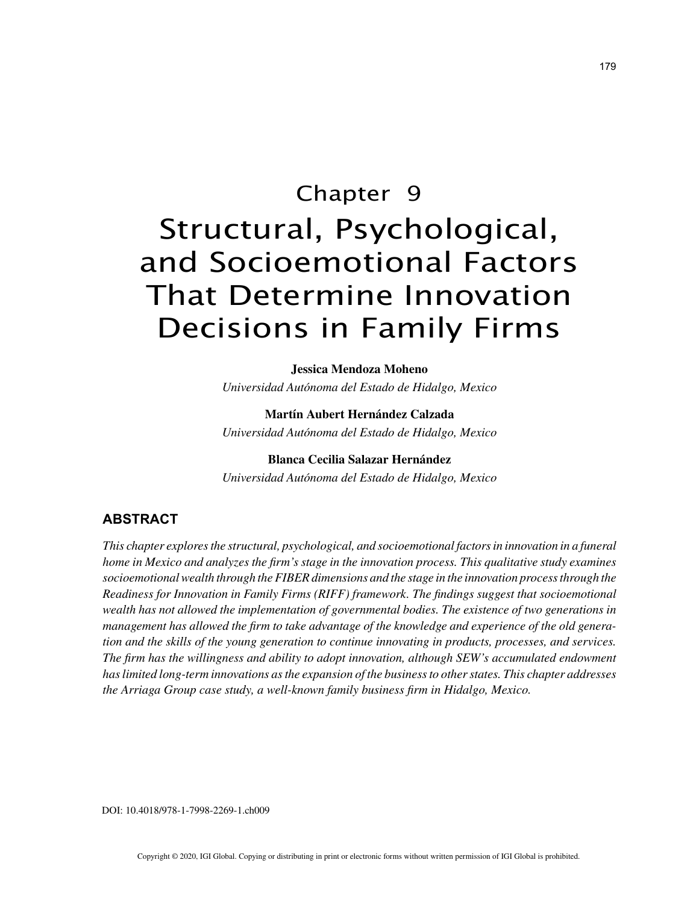# Chapter 9 Structural, Psychological, and Socioemotional Factors That Determine Innovation Decisions in Family Firms

**Jessica Mendoza Moheno**

*Universidad Autónoma del Estado de Hidalgo, Mexico*

**Martín Aubert Hernández Calzada** *Universidad Autónoma del Estado de Hidalgo, Mexico*

**Blanca Cecilia Salazar Hernández** *Universidad Autónoma del Estado de Hidalgo, Mexico*

## **ABSTRACT**

*This chapter explores the structural, psychological, and socioemotional factors in innovation in a funeral home in Mexico and analyzes the firm's stage in the innovation process. This qualitative study examines socioemotional wealth through the FIBER dimensions and the stage in the innovation process through the Readiness for Innovation in Family Firms (RIFF) framework. The findings suggest that socioemotional wealth has not allowed the implementation of governmental bodies. The existence of two generations in management has allowed the firm to take advantage of the knowledge and experience of the old generation and the skills of the young generation to continue innovating in products, processes, and services. The firm has the willingness and ability to adopt innovation, although SEW's accumulated endowment has limited long-term innovations as the expansion of the business to other states. This chapter addresses the Arriaga Group case study, a well-known family business firm in Hidalgo, Mexico.*

DOI: 10.4018/978-1-7998-2269-1.ch009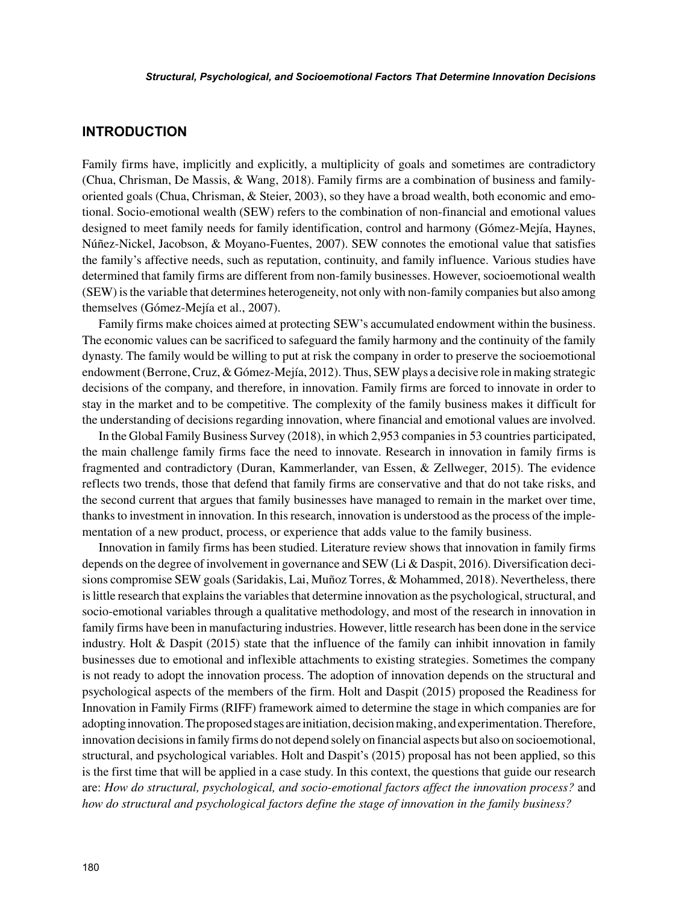## **INTRODUCTION**

Family firms have, implicitly and explicitly, a multiplicity of goals and sometimes are contradictory (Chua, Chrisman, De Massis, & Wang, 2018). Family firms are a combination of business and familyoriented goals (Chua, Chrisman, & Steier, 2003), so they have a broad wealth, both economic and emotional. Socio-emotional wealth (SEW) refers to the combination of non-financial and emotional values designed to meet family needs for family identification, control and harmony (Gómez-Mejía, Haynes, Núñez-Nickel, Jacobson, & Moyano-Fuentes, 2007). SEW connotes the emotional value that satisfies the family's affective needs, such as reputation, continuity, and family influence. Various studies have determined that family firms are different from non-family businesses. However, socioemotional wealth (SEW) is the variable that determines heterogeneity, not only with non-family companies but also among themselves (Gómez-Mejía et al., 2007).

Family firms make choices aimed at protecting SEW's accumulated endowment within the business. The economic values can be sacrificed to safeguard the family harmony and the continuity of the family dynasty. The family would be willing to put at risk the company in order to preserve the socioemotional endowment (Berrone, Cruz, & Gómez-Mejía, 2012). Thus, SEW plays a decisive role in making strategic decisions of the company, and therefore, in innovation. Family firms are forced to innovate in order to stay in the market and to be competitive. The complexity of the family business makes it difficult for the understanding of decisions regarding innovation, where financial and emotional values are involved.

In the Global Family Business Survey (2018), in which 2,953 companies in 53 countries participated, the main challenge family firms face the need to innovate. Research in innovation in family firms is fragmented and contradictory (Duran, Kammerlander, van Essen, & Zellweger, 2015). The evidence reflects two trends, those that defend that family firms are conservative and that do not take risks, and the second current that argues that family businesses have managed to remain in the market over time, thanks to investment in innovation. In this research, innovation is understood as the process of the implementation of a new product, process, or experience that adds value to the family business.

Innovation in family firms has been studied. Literature review shows that innovation in family firms depends on the degree of involvement in governance and SEW (Li & Daspit, 2016). Diversification decisions compromise SEW goals (Saridakis, Lai, Muñoz Torres, & Mohammed, 2018). Nevertheless, there is little research that explains the variables that determine innovation as the psychological, structural, and socio-emotional variables through a qualitative methodology, and most of the research in innovation in family firms have been in manufacturing industries. However, little research has been done in the service industry. Holt & Daspit (2015) state that the influence of the family can inhibit innovation in family businesses due to emotional and inflexible attachments to existing strategies. Sometimes the company is not ready to adopt the innovation process. The adoption of innovation depends on the structural and psychological aspects of the members of the firm. Holt and Daspit (2015) proposed the Readiness for Innovation in Family Firms (RIFF) framework aimed to determine the stage in which companies are for adopting innovation. The proposed stages are initiation, decision making, and experimentation. Therefore, innovation decisions in family firms do not depend solely on financial aspects but also on socioemotional, structural, and psychological variables. Holt and Daspit's (2015) proposal has not been applied, so this is the first time that will be applied in a case study. In this context, the questions that guide our research are: *How do structural, psychological, and socio-emotional factors affect the innovation process?* and *how do structural and psychological factors define the stage of innovation in the family business?*